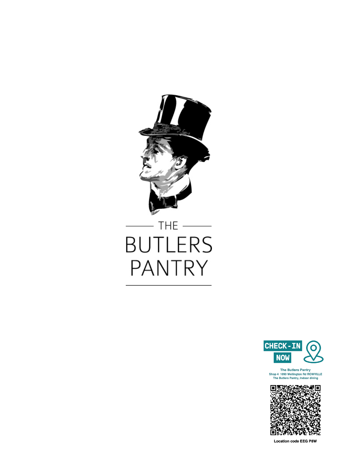

# THE  $\_\_$ **BUTLERS PANTRY**



The Butlers Pantry<br>Shop 4 1090 Wellington Rd ROWVILLE<br>The Butlers Pantry, Indoor dining



**Location code EEG P8W**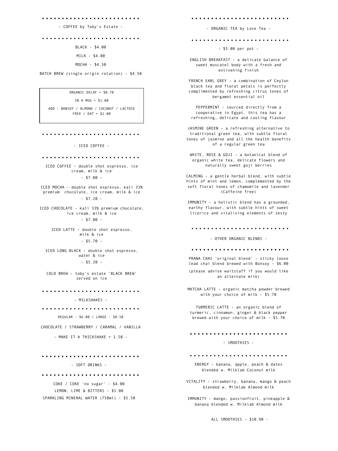# 

## - COFFEE by Toby's Estate -

BLACK - \$4.00 MILK - \$4.00

MOCHA - \$4.50

BATCH BREW (single origin rotation) - \$4.50

ORGANIC DECAF + \$0.70

IN A MUG + \$1.00 ADD - BONSOY / ALMOND / COCONUT / LACTOSE FREE / OAT + \$1.00

- ICED COFFEE -

ICED COFFEE - double shot espresso, ice cream, milk & ice  $- $7.00 -$ 

ICED MOCHA - double shot espresso, kali 33% premium chocolate, ice cream, milk & ice  $- $7.20 -$ 

ICED CHOCOLATE - kali 33% premium chocolate, ice cream, milk & ice  $- $7.00 -$ 

> ICED LATTE - double shot espresso, milk & ice  $-$  \$5.70 -

ICED LONG BLACK - double shot espresso, water & ice  $-$  \$5.20 -

COLD BREW - toby's estate 'BLACK BREW' served on ice

- MILKSHAKES -

REGULAR - \$6.00 / LARGE - \$8.50

CHOCOLATE / STRAWBERRY / CARAMAL / VANILLA

- MAKE IT A THICKSHAKE + 1.50 -

- SOFT DRINKS -

COKE / COKE 'no sugar' - \$4.00 LEMON, LIME & BITTERS - \$5.00 SPARKLING MINERAL WATER (750ml) - \$5.50

- ORGANIC TEA by Love Tea -

- \$5.00 per pot -

ENGLISH BREAKFAST - a delicate balance of sweet muscatel body with a fresh and enlivening finish

FRENCH EARL GREY - a combination of Ceylon black tea and floral petals is perfectly complimented by refreshing citrus tones of bergamot essential oil

PEPPERMINT - sourced directly from a cooperative in Egypt. this tea has a refreshing, delicate and cooling flavour

JASMINE GREEN - a refreshing alternative to traditional green tea, with subtle floral tones of jasmine and all the health benefits of a regular green tea

WHITE, ROSE & GOJI - a botanical blend of organic white tea, delicate flowers and naturally sweet goji berries

CALMING - a gentle herbal blend, with subtle hints of mint and lemon, complemented by the soft floral tones of chamomile and lavender (Caffeine free)

IMMUNITY - a holistic blend has a grounded, earthy flavour, with subtle hints of sweet licorice and vitalising elements of zesty

#### 

- OTHER ORGANIC BLENDS -

PRANA CHAI 'original blend' - sticky loose lead chai blend brewed with Bonsoy - \$6.00

(please advise waitstaff if you would like an alternate milk)

MATCHA LATTE - organic matcha powder brewed with your choice of milk - \$5.70

TURMERIC LATTE - an organic blend of turmeric, cinnamon, ginger & black pepper brewed with your choice of milk - \$5.70

- SMOOTHIES -

### 

ENERGY - banana, apple, peach & dates blended w. Milklab Coconut milk

VITALITY - strawberry, banana, mango & peach blended w. Milklab Almond milk

IMMUNITY - mango, passionfruit, pineapple & banana blended w. Milklab Almond milk

ALL SMOOTHIES - \$10.90 -